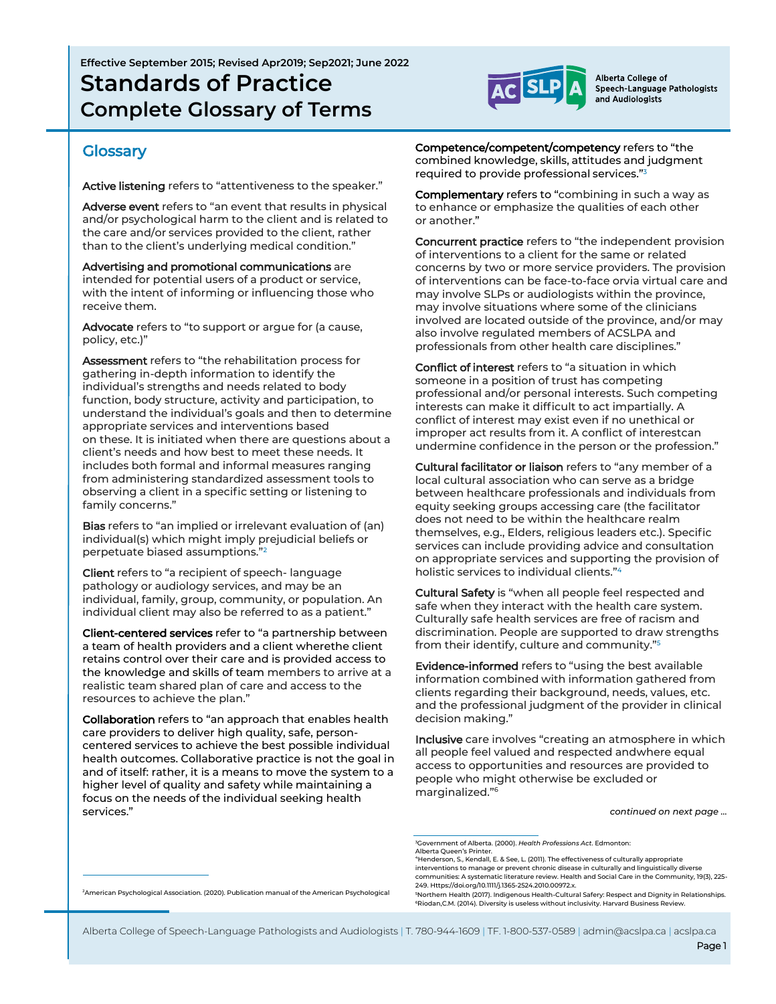**Effective September 2015; Revised Apr2019; Sep2021; June 2022 Standards of Practice Complete Glossary of Terms**



Alberta College of Speech-Language Pathologists and Audiologists

### **Glossary**

Active listening refers to "attentiveness to the speaker."

Adverse event refers to "an event that results in physical and/or psychological harm to the client and is related to the care and/or services provided to the client, rather than to the client's underlying medical condition."

Advertising and promotional communications are intended for potential users of a product or service, with the intent of informing or influencing those who receive them.

Advocate refers to "to support or argue for (a cause, policy, etc.)"

Assessment refers to "the rehabilitation process for gathering in-depth information to identify the individual's strengths and needs related to body function, body structure, activity and participation, to understand the individual's goals and then to determine appropriate services and interventions based on these. It is initiated when there are questions about a client's needs and how best to meet these needs. It includes both formal and informal measures ranging from administering standardized assessment tools to observing a client in a specific setting or listening to family concerns."

Bias refers to "an implied or irrelevant evaluation of (an) individual(s) which might imply prejudicial beliefs or perpetuate biased assumptions." 2

Client refers to "a recipient of speech- language pathology or audiology services, and may be an individual, family, group, community, or population. An individual client may also be referred to as a patient."

Client-centered services refer to "a partnership between a team of health providers and a client wherethe client retains control over their care and is provided access to the knowledge and skills of team members to arrive at a realistic team shared plan of care and access to the resources to achieve the plan."

Collaboration refers to "an approach that enables health care providers to deliver high quality, safe, personcentered services to achieve the best possible individual health outcomes. Collaborative practice is not the goal in and of itself: rather, it is a means to move the system to a higher level of quality and safety while maintaining a focus on the needs of the individual seeking health services."

Competence/competent/competency refers to "the combined knowledge, skills, attitudes and judgment required to provide professional services." 3

Complementary refers to "combining in such a way as to enhance or emphasize the qualities of each other or another."

Concurrent practice refers to "the independent provision of interventions to a client for the same or related concerns by two or more service providers. The provision of interventions can be face-to-face orvia virtual care and may involve SLPs or audiologists within the province, may involve situations where some of the clinicians involved are located outside of the province, and/or may also involve regulated members of ACSLPA and professionals from other health care disciplines."

Conflict of interest refers to "a situation in which someone in a position of trust has competing professional and/or personal interests. Such competing interests can make it difficult to act impartially. A conflict of interest may exist even if no unethical or improper act results from it. A conflict of interestcan undermine confidence in the person or the profession."

Cultural facilitator or liaison refers to "any member of a local cultural association who can serve as a bridge between healthcare professionals and individuals from equity seeking groups accessing care (the facilitator does not need to be within the healthcare realm themselves, e.g., Elders, religious leaders etc.). Specific services can include providing advice and consultation on appropriate services and supporting the provision of holistic services to individual clients." 4

Cultural Safety is "when all people feel respected and safe when they interact with the health care system. Culturally safe health services are free of racism and discrimination. People are supported to draw strengths from their identify, culture and community." 5

Evidence-informed refers to "using the best available information combined with information gathered from clients regarding their background, needs, values, etc. and the professional judgment of the provider in clinical decision making."

Inclusive care involves "creating an atmosphere in which all people feel valued and respected andwhere equal access to opportunities and resources are provided to people who might otherwise be excluded or marginalized." 6

*continued on next page …*

6Riodan,C.M. (2014). Diversity is useless without inclusivity. Harvard Business Review.

<sup>2</sup>American Psychological Association. (2020). Publication manual of the American Psychological

Alberta College of Speech-Language Pathologists and Audiologists | T. 780-944-1609 | TF. 1-800-537-0589 | admin@acslpa.ca | acslpa.ca

<sup>3</sup>Government of Alberta. (2000). *Health Professions Act*. Edmonton: Alberta Queen's Printer.

<sup>4</sup>Henderson, S., Kendall, E. & See, L. (2011). The effectiveness of culturally appropriate interventions to manage or prevent chronic disease in culturally and linguistically diverse communities: A systematic literature review. Health and Social Care in the Community, 19(3), 225- 249. Https://doi.org/10.1111/j.1365-2524.2010.00972.x. <sup>5</sup>Northern Health (2017). Indigenous Health-Cultural Safery: Respect and Dignity in Relationships.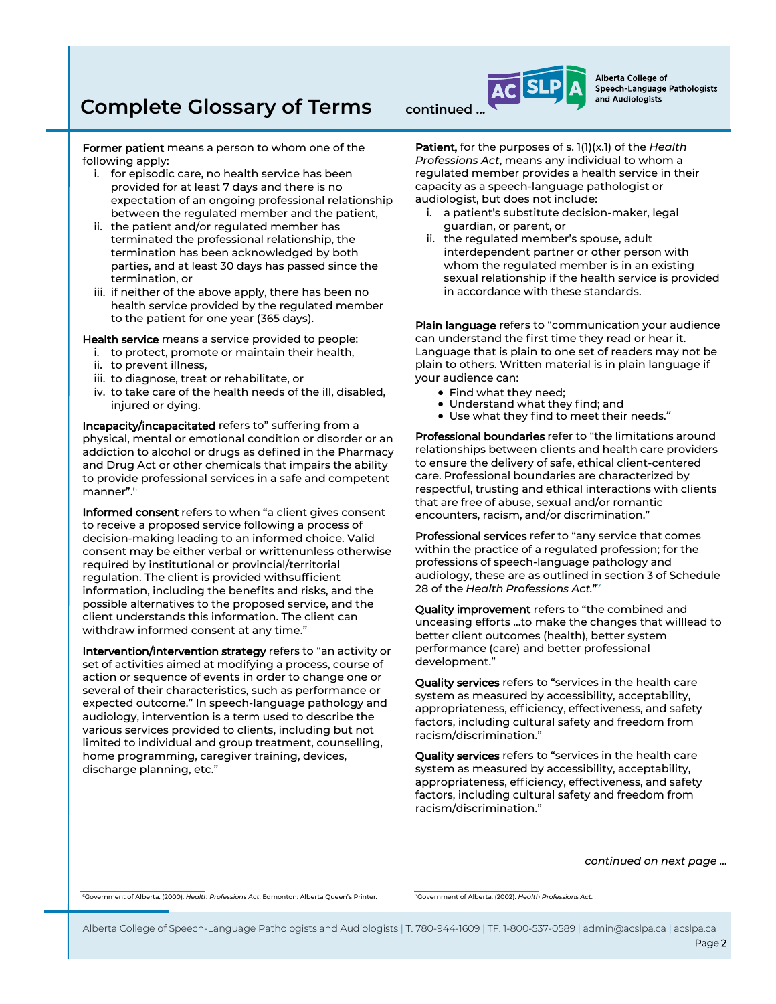# **Complete Glossary of Terms** continued.

Former patient means a person to whom one of the following apply:

- i. for episodic care, no health service has been provided for at least 7 days and there is no expectation of an ongoing professional relationship between the regulated member and the patient,
- ii. the patient and/or regulated member has terminated the professional relationship, the termination has been acknowledged by both parties, and at least 30 days has passed since the termination, or
- iii. if neither of the above apply, there has been no health service provided by the regulated member to the patient for one year (365 days).

Health service means a service provided to people:

- i. to protect, promote or maintain their health,
- ii. to prevent illness,
- iii. to diagnose, treat or rehabilitate, or
- iv. to take care of the health needs of the ill, disabled, injured or dying.

Incapacity/incapacitated refers to" suffering from a physical, mental or emotional condition or disorder or an addiction to alcohol or drugs as defined in the Pharmacy and Drug Act or other chemicals that impairs the ability to provide professional services in a safe and competent manner".<sup>6</sup>

Informed consent refers to when "a client gives consent to receive a proposed service following a process of decision-making leading to an informed choice. Valid consent may be either verbal or writtenunless otherwise required by institutional or provincial/territorial regulation. The client is provided withsufficient information, including the benefits and risks, and the possible alternatives to the proposed service, and the client understands this information. The client can withdraw informed consent at any time."

Intervention/intervention strategy refers to "an activity or set of activities aimed at modifying a process, course of action or sequence of events in order to change one or several of their characteristics, such as performance or expected outcome." In speech-language pathology and audiology, intervention is a term used to describe the various services provided to clients, including but not limited to individual and group treatment, counselling, home programming, caregiver training, devices, discharge planning, etc."

Patient, for the purposes of s. 1(1)(x.1) of the *Health Professions Act*, means any individual to whom a regulated member provides a health service in their capacity as a speech-language pathologist or audiologist, but does not include:

Alberta College of

and Audiologists

Speech-Language Pathologists

- i. a patient's substitute decision-maker, legal guardian, or parent, or
- ii. the regulated member's spouse, adult interdependent partner or other person with whom the regulated member is in an existing sexual relationship if the health service is provided in accordance with these standards.

Plain language refers to "communication your audience can understand the first time they read or hear it. Language that is plain to one set of readers may not be plain to others. Written material is in plain language if your audience can:

- Find what they need;
- Understand what they find; and
- Use what they find to meet their needs."

Professional boundaries refer to "the limitations around relationships between clients and health care providers to ensure the delivery of safe, ethical client-centered care. Professional boundaries are characterized by respectful, trusting and ethical interactions with clients that are free of abuse, sexual and/or romantic encounters, racism, and/or discrimination."

Professional services refer to "any service that comes within the practice of a regulated profession; for the professions of speech-language pathology and audiology, these are as outlined in section 3 of Schedule 28 of the *Health Professions Act.*" 7

Quality improvement refers to "the combined and unceasing efforts …to make the changes that willlead to better client outcomes (health), better system performance (care) and better professional development."

Quality services refers to "services in the health care system as measured by accessibility, acceptability, appropriateness, efficiency, effectiveness, and safety factors, including cultural safety and freedom from racism/discrimination."

Quality services refers to "services in the health care system as measured by accessibility, acceptability, appropriateness, efficiency, effectiveness, and safety factors, including cultural safety and freedom from racism/discrimination."

*continued on next page …* 

<sup>6</sup>Government of Alberta. (2000). *Health Professions Act*. Edmonton: Alberta Queen's Printer.

7Government of Alberta. (2002). *Health Professions Act*.

Alberta College of Speech-Language Pathologists and Audiologists | T. 780-944-1609 | TF. 1-800-537-0589 | admin@acslpa.ca | acslpa.ca

Page 2